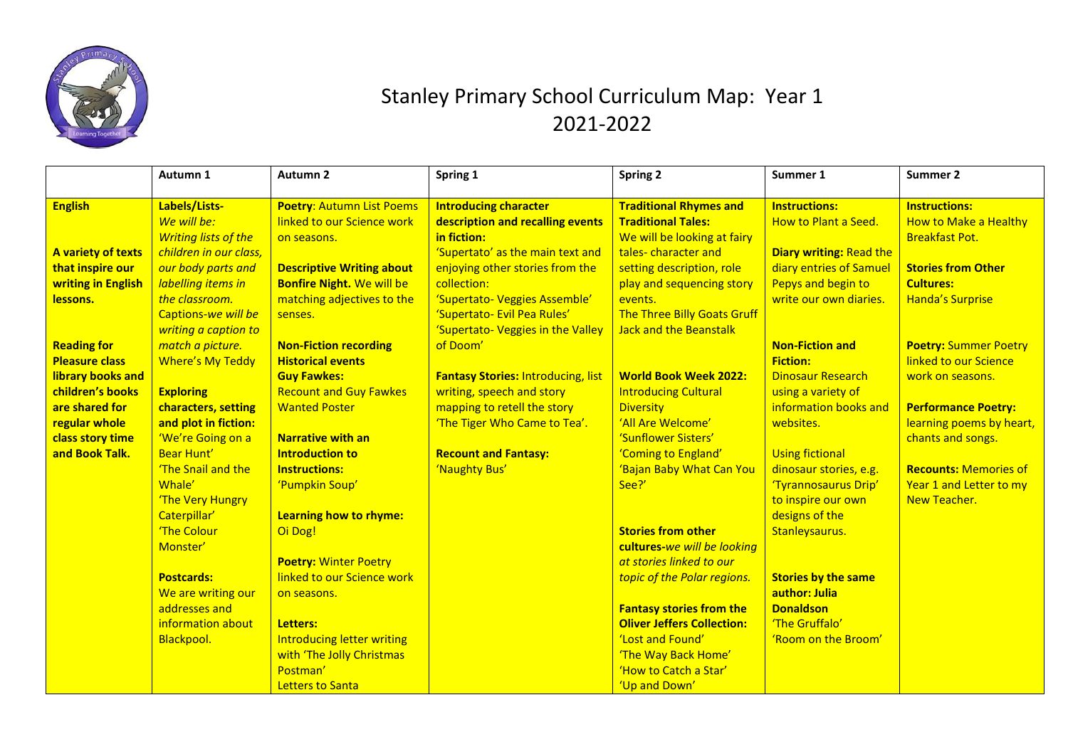

## Stanley Primary School Curriculum Map: Year 1 2021-2022

|                                             | Autumn 1                             | Autumn <sub>2</sub>                                      | Spring 1                                  | <b>Spring 2</b>                                              | Summer 1                       | Summer 2                                              |
|---------------------------------------------|--------------------------------------|----------------------------------------------------------|-------------------------------------------|--------------------------------------------------------------|--------------------------------|-------------------------------------------------------|
| <b>English</b>                              | Labels/Lists-                        | <b>Poetry: Autumn List Poems</b>                         | <b>Introducing character</b>              | <b>Traditional Rhymes and</b>                                | <b>Instructions:</b>           | <b>Instructions:</b>                                  |
|                                             | We will be:                          | linked to our Science work                               | description and recalling events          | <b>Traditional Tales:</b>                                    | <b>How to Plant a Seed.</b>    | <b>How to Make a Healthy</b>                          |
|                                             | <b>Writing lists of the</b>          | on seasons.                                              | in fiction:                               | We will be looking at fairy                                  |                                | <b>Breakfast Pot.</b>                                 |
| A variety of texts                          | children in our class,               |                                                          | 'Supertato' as the main text and          | tales-character and                                          | <b>Diary writing: Read the</b> |                                                       |
|                                             |                                      | <b>Descriptive Writing about</b>                         | enjoying other stories from the           | setting description, role                                    | diary entries of Samuel        | <b>Stories from Other</b>                             |
| that inspire our                            | our body parts and                   | <b>Bonfire Night. We will be</b>                         |                                           |                                                              | Pepys and begin to             | <b>Cultures:</b>                                      |
| <b>writing in English</b>                   | labelling items in<br>the classroom. |                                                          | collection:                               | play and sequencing story                                    | write our own diaries.         |                                                       |
| lessons.                                    |                                      | matching adjectives to the                               | 'Supertato- Veggies Assemble'             | events.                                                      |                                | <b>Handa's Surprise</b>                               |
|                                             | Captions-we will be                  | senses.                                                  | 'Supertato- Evil Pea Rules'               | The Three Billy Goats Gruff<br><b>Jack and the Beanstalk</b> |                                |                                                       |
|                                             | writing a caption to                 |                                                          | 'Supertato- Veggies in the Valley         |                                                              |                                |                                                       |
| <b>Reading for</b><br><b>Pleasure class</b> | match a picture.                     | <b>Non-Fiction recording</b><br><b>Historical events</b> | of Doom'                                  |                                                              | <b>Non-Fiction and</b>         | <b>Poetry: Summer Poetry</b><br>linked to our Science |
|                                             | <b>Where's My Teddy</b>              |                                                          |                                           |                                                              | <b>Fiction:</b>                |                                                       |
| library books and                           |                                      | <b>Guy Fawkes:</b>                                       | <b>Fantasy Stories: Introducing, list</b> | <b>World Book Week 2022:</b>                                 | <b>Dinosaur Research</b>       | work on seasons.                                      |
| children's books                            | <b>Exploring</b>                     | <b>Recount and Guy Fawkes</b>                            | writing, speech and story                 | <b>Introducing Cultural</b>                                  | using a variety of             |                                                       |
| are shared for                              | characters, setting                  | <b>Wanted Poster</b>                                     | mapping to retell the story               | <b>Diversity</b>                                             | information books and          | <b>Performance Poetry:</b>                            |
| regular whole                               | and plot in fiction:                 |                                                          | 'The Tiger Who Came to Tea'.              | 'All Are Welcome'                                            | websites.                      | learning poems by heart,                              |
| class story time                            | 'We're Going on a                    | <b>Narrative with an</b>                                 |                                           | 'Sunflower Sisters'                                          |                                | chants and songs.                                     |
| and Book Talk.                              | <b>Bear Hunt'</b>                    | <b>Introduction to</b>                                   | <b>Recount and Fantasy:</b>               | 'Coming to England'                                          | <b>Using fictional</b>         |                                                       |
|                                             | 'The Snail and the                   | <b>Instructions:</b>                                     | 'Naughty Bus'                             | 'Bajan Baby What Can You                                     | dinosaur stories, e.g.         | <b>Recounts: Memories of</b>                          |
|                                             | Whale'                               | 'Pumpkin Soup'                                           |                                           | See?'                                                        | 'Tyrannosaurus Drip'           | Year 1 and Letter to my                               |
|                                             | 'The Very Hungry                     |                                                          |                                           |                                                              | to inspire our own             | New Teacher.                                          |
|                                             | Caterpillar'                         | Learning how to rhyme:                                   |                                           |                                                              | designs of the                 |                                                       |
|                                             | 'The Colour                          | Oi Dog!                                                  |                                           | <b>Stories from other</b>                                    | Stanleysaurus.                 |                                                       |
|                                             | Monster'                             |                                                          |                                           | cultures-we will be looking                                  |                                |                                                       |
|                                             |                                      | <b>Poetry: Winter Poetry</b>                             |                                           | at stories linked to our                                     |                                |                                                       |
|                                             | <b>Postcards:</b>                    | linked to our Science work                               |                                           | topic of the Polar regions.                                  | <b>Stories by the same</b>     |                                                       |
|                                             | We are writing our                   | on seasons.                                              |                                           |                                                              | author: Julia                  |                                                       |
|                                             | addresses and                        |                                                          |                                           | <b>Fantasy stories from the</b>                              | <b>Donaldson</b>               |                                                       |
|                                             | information about                    | Letters:                                                 |                                           | <b>Oliver Jeffers Collection:</b>                            | 'The Gruffalo'                 |                                                       |
|                                             | Blackpool.                           | <b>Introducing letter writing</b>                        |                                           | 'Lost and Found'                                             | 'Room on the Broom'            |                                                       |
|                                             |                                      | with 'The Jolly Christmas                                |                                           | 'The Way Back Home'                                          |                                |                                                       |
|                                             |                                      | Postman'                                                 |                                           | 'How to Catch a Star'                                        |                                |                                                       |
|                                             |                                      | <b>Letters to Santa</b>                                  |                                           | 'Up and Down'                                                |                                |                                                       |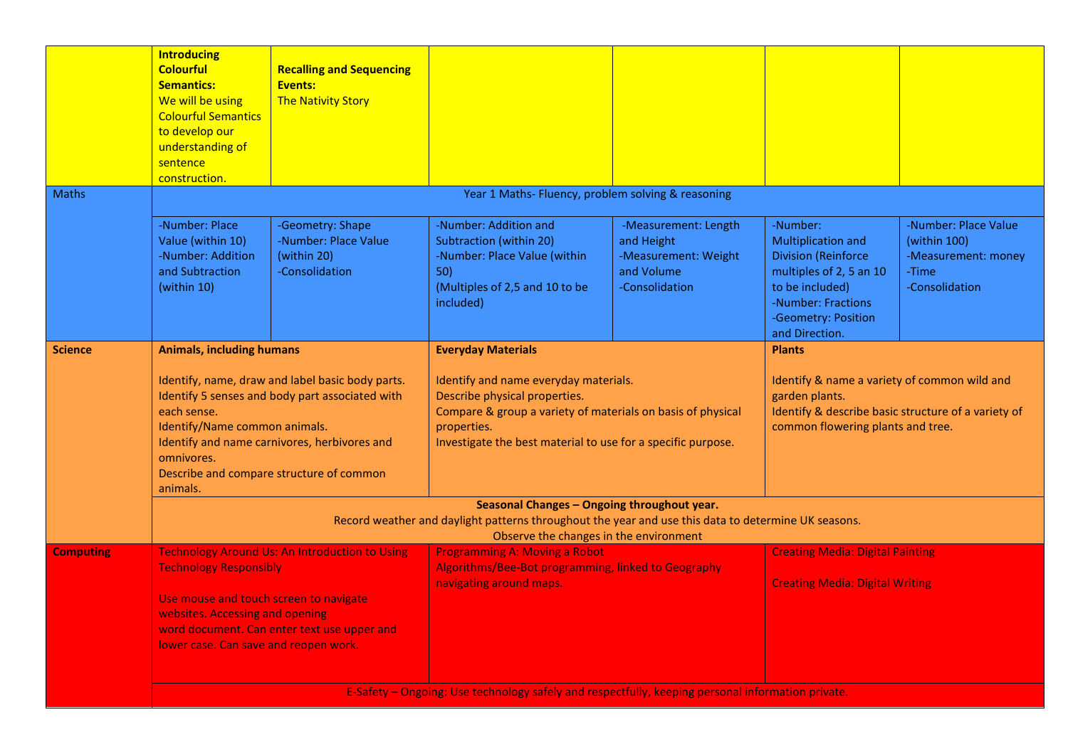| <b>Maths</b>     | <b>Introducing</b><br><b>Colourful</b><br><b>Semantics:</b><br>We will be using<br><b>Colourful Semantics</b><br>to develop our<br>understanding of<br>sentence<br>construction.                                                                                          | <b>Recalling and Sequencing</b><br>Events:<br><b>The Nativity Story</b>   |                                                                                                                                                                                                                      |                                                                                            |                                                                                                                                                                                  |                                                                                        |  |
|------------------|---------------------------------------------------------------------------------------------------------------------------------------------------------------------------------------------------------------------------------------------------------------------------|---------------------------------------------------------------------------|----------------------------------------------------------------------------------------------------------------------------------------------------------------------------------------------------------------------|--------------------------------------------------------------------------------------------|----------------------------------------------------------------------------------------------------------------------------------------------------------------------------------|----------------------------------------------------------------------------------------|--|
|                  | Year 1 Maths- Fluency, problem solving & reasoning                                                                                                                                                                                                                        |                                                                           |                                                                                                                                                                                                                      |                                                                                            |                                                                                                                                                                                  |                                                                                        |  |
|                  | -Number: Place<br>Value (within 10)<br>-Number: Addition<br>and Subtraction<br>(within 10)                                                                                                                                                                                | -Geometry: Shape<br>-Number: Place Value<br>(within 20)<br>-Consolidation | -Number: Addition and<br>Subtraction (within 20)<br>-Number: Place Value (within<br>50)<br>(Multiples of 2,5 and 10 to be<br>included)                                                                               | -Measurement: Length<br>and Height<br>-Measurement: Weight<br>and Volume<br>-Consolidation | -Number:<br><b>Multiplication and</b><br><b>Division (Reinforce</b><br>multiples of 2, 5 an 10<br>to be included)<br>-Number: Fractions<br>-Geometry: Position<br>and Direction. | -Number: Place Value<br>(within 100)<br>-Measurement: money<br>-Time<br>-Consolidation |  |
| <b>Science</b>   | <b>Animals, including humans</b>                                                                                                                                                                                                                                          |                                                                           | <b>Everyday Materials</b>                                                                                                                                                                                            |                                                                                            | <b>Plants</b>                                                                                                                                                                    |                                                                                        |  |
|                  | Identify, name, draw and label basic body parts.<br>Identify 5 senses and body part associated with<br>each sense.<br>Identify/Name common animals.<br>Identify and name carnivores, herbivores and<br>omnivores.<br>Describe and compare structure of common<br>animals. |                                                                           | Identify and name everyday materials.<br>Describe physical properties.<br>Compare & group a variety of materials on basis of physical<br>properties.<br>Investigate the best material to use for a specific purpose. |                                                                                            | Identify & name a variety of common wild and<br>garden plants.<br>Identify & describe basic structure of a variety of<br>common flowering plants and tree.                       |                                                                                        |  |
|                  |                                                                                                                                                                                                                                                                           |                                                                           | Seasonal Changes - Ongoing throughout year.                                                                                                                                                                          |                                                                                            |                                                                                                                                                                                  |                                                                                        |  |
|                  | Record weather and daylight patterns throughout the year and use this data to determine UK seasons.<br>Observe the changes in the environment                                                                                                                             |                                                                           |                                                                                                                                                                                                                      |                                                                                            |                                                                                                                                                                                  |                                                                                        |  |
| <b>Computing</b> | <b>Technology Around Us: An Introduction to Using</b><br><b>Technology Responsibly</b><br>Use mouse and touch screen to navigate<br>websites. Accessing and opening<br>word document. Can enter text use upper and<br>lower case. Can save and reopen work.               |                                                                           | <b>Programming A: Moving a Robot</b><br>Algorithms/Bee-Bot programming, linked to Geography<br>navigating around maps.                                                                                               |                                                                                            | <b>Creating Media: Digital Painting</b><br><b>Creating Media: Digital Writing</b>                                                                                                |                                                                                        |  |
|                  | E-Safety - Ongoing: Use technology safely and respectfully, keeping personal information private.                                                                                                                                                                         |                                                                           |                                                                                                                                                                                                                      |                                                                                            |                                                                                                                                                                                  |                                                                                        |  |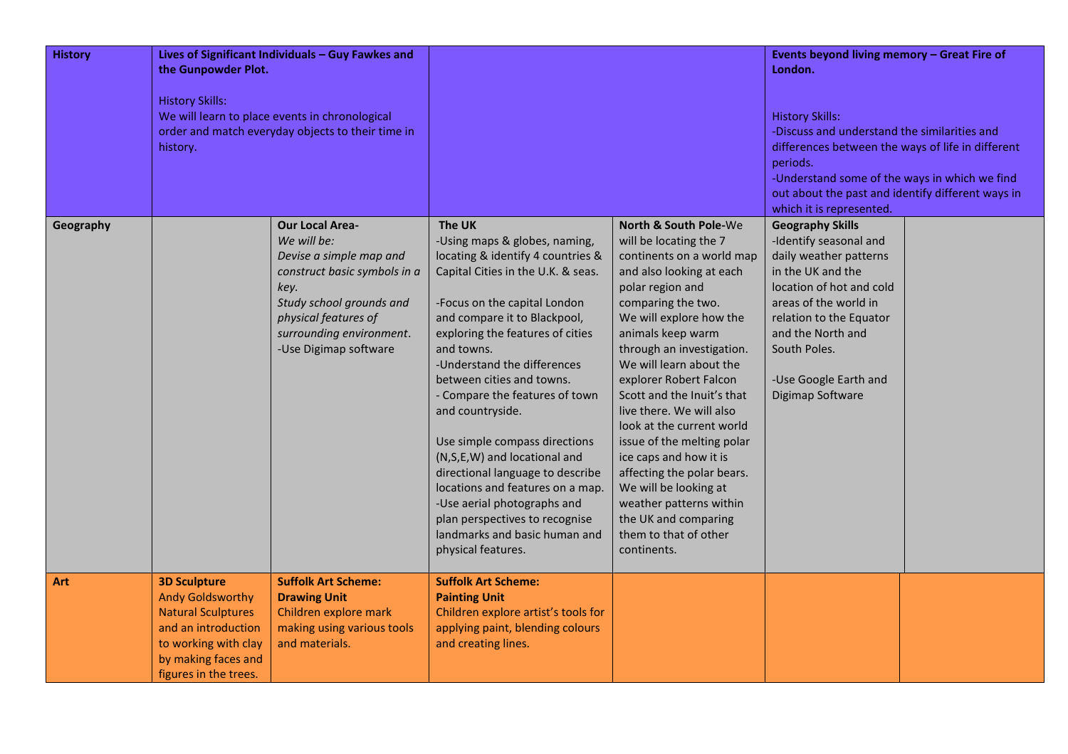| <b>History</b> | Lives of Significant Individuals - Guy Fawkes and<br>the Gunpowder Plot.<br><b>History Skills:</b><br>We will learn to place events in chronological<br>order and match everyday objects to their time in<br>history. |                                                                                                                                                                                                                   |                                                                                                                                                                                                                                                                                                                                                                                                                                                                                                                                                                                                                         |                                                                                                                                                                                                                                                                                                                                                                                                                                                                                                                                                                                                  | Events beyond living memory - Great Fire of<br>London.<br><b>History Skills:</b><br>-Discuss and understand the similarities and<br>differences between the ways of life in different<br>periods.<br>-Understand some of the ways in which we find<br>out about the past and identify different ways in<br>which it is represented. |  |
|----------------|-----------------------------------------------------------------------------------------------------------------------------------------------------------------------------------------------------------------------|-------------------------------------------------------------------------------------------------------------------------------------------------------------------------------------------------------------------|-------------------------------------------------------------------------------------------------------------------------------------------------------------------------------------------------------------------------------------------------------------------------------------------------------------------------------------------------------------------------------------------------------------------------------------------------------------------------------------------------------------------------------------------------------------------------------------------------------------------------|--------------------------------------------------------------------------------------------------------------------------------------------------------------------------------------------------------------------------------------------------------------------------------------------------------------------------------------------------------------------------------------------------------------------------------------------------------------------------------------------------------------------------------------------------------------------------------------------------|-------------------------------------------------------------------------------------------------------------------------------------------------------------------------------------------------------------------------------------------------------------------------------------------------------------------------------------|--|
| Geography      |                                                                                                                                                                                                                       | <b>Our Local Area-</b><br>We will be:<br>Devise a simple map and<br>construct basic symbols in a<br>key.<br>Study school grounds and<br>physical features of<br>surrounding environment.<br>-Use Digimap software | The UK<br>-Using maps & globes, naming,<br>locating & identify 4 countries &<br>Capital Cities in the U.K. & seas.<br>-Focus on the capital London<br>and compare it to Blackpool,<br>exploring the features of cities<br>and towns.<br>-Understand the differences<br>between cities and towns.<br>- Compare the features of town<br>and countryside.<br>Use simple compass directions<br>(N,S,E,W) and locational and<br>directional language to describe<br>locations and features on a map.<br>-Use aerial photographs and<br>plan perspectives to recognise<br>landmarks and basic human and<br>physical features. | <b>North &amp; South Pole-We</b><br>will be locating the 7<br>continents on a world map<br>and also looking at each<br>polar region and<br>comparing the two.<br>We will explore how the<br>animals keep warm<br>through an investigation.<br>We will learn about the<br>explorer Robert Falcon<br>Scott and the Inuit's that<br>live there. We will also<br>look at the current world<br>issue of the melting polar<br>ice caps and how it is<br>affecting the polar bears.<br>We will be looking at<br>weather patterns within<br>the UK and comparing<br>them to that of other<br>continents. | <b>Geography Skills</b><br>-Identify seasonal and<br>daily weather patterns<br>in the UK and the<br>location of hot and cold<br>areas of the world in<br>relation to the Equator<br>and the North and<br>South Poles.<br>-Use Google Earth and<br>Digimap Software                                                                  |  |
| Art            | <b>3D Sculpture</b><br><b>Andy Goldsworthy</b><br><b>Natural Sculptures</b><br>and an introduction<br>to working with clay<br>by making faces and<br>figures in the trees.                                            | <b>Suffolk Art Scheme:</b><br><b>Drawing Unit</b><br>Children explore mark<br>making using various tools<br>and materials.                                                                                        | <b>Suffolk Art Scheme:</b><br><b>Painting Unit</b><br>Children explore artist's tools for<br>applying paint, blending colours<br>and creating lines.                                                                                                                                                                                                                                                                                                                                                                                                                                                                    |                                                                                                                                                                                                                                                                                                                                                                                                                                                                                                                                                                                                  |                                                                                                                                                                                                                                                                                                                                     |  |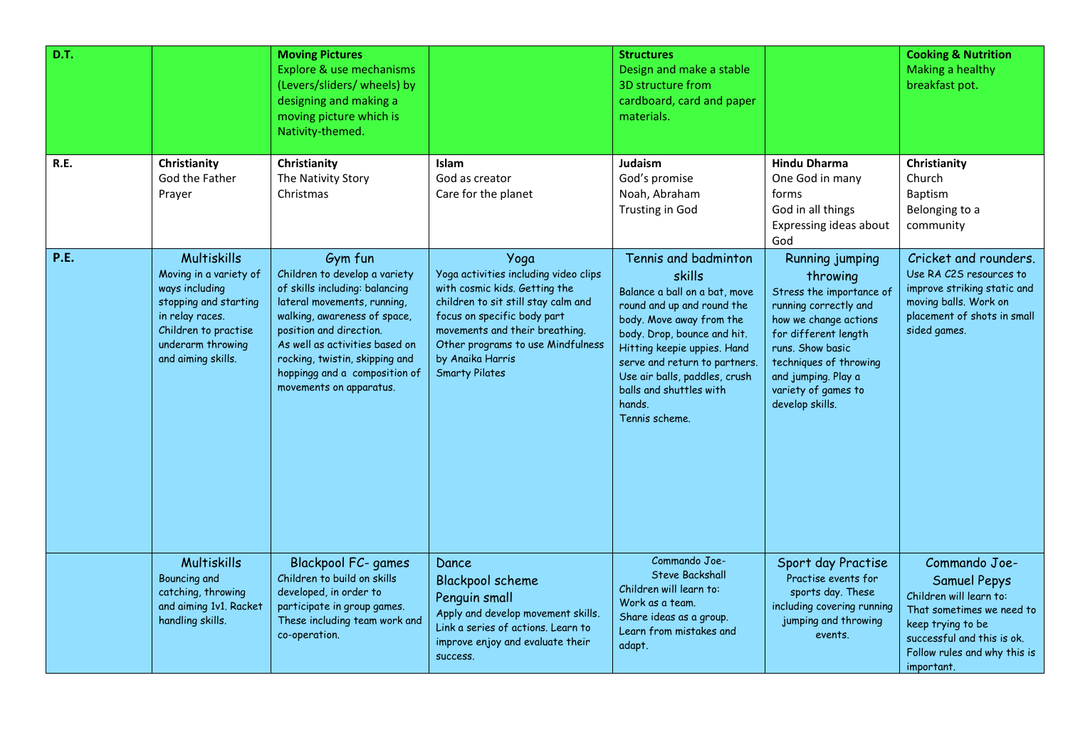| D.T.        |                                                                                                                                                                               | <b>Moving Pictures</b><br>Explore & use mechanisms<br>(Levers/sliders/ wheels) by<br>designing and making a<br>moving picture which is<br>Nativity-themed.                                                                                                                                           |                                                                                                                                                                                                                                                                          | <b>Structures</b><br>Design and make a stable<br>3D structure from<br>cardboard, card and paper<br>materials.                                                                                                                                                                                                   |                                                                                                                                                                                                                                                  | <b>Cooking &amp; Nutrition</b><br>Making a healthy<br>breakfast pot.                                                                                                                          |
|-------------|-------------------------------------------------------------------------------------------------------------------------------------------------------------------------------|------------------------------------------------------------------------------------------------------------------------------------------------------------------------------------------------------------------------------------------------------------------------------------------------------|--------------------------------------------------------------------------------------------------------------------------------------------------------------------------------------------------------------------------------------------------------------------------|-----------------------------------------------------------------------------------------------------------------------------------------------------------------------------------------------------------------------------------------------------------------------------------------------------------------|--------------------------------------------------------------------------------------------------------------------------------------------------------------------------------------------------------------------------------------------------|-----------------------------------------------------------------------------------------------------------------------------------------------------------------------------------------------|
| R.E.        | Christianity<br>God the Father<br>Prayer                                                                                                                                      | Christianity<br>The Nativity Story<br>Christmas                                                                                                                                                                                                                                                      | Islam<br>God as creator<br>Care for the planet                                                                                                                                                                                                                           | <b>Judaism</b><br>God's promise<br>Noah, Abraham<br>Trusting in God                                                                                                                                                                                                                                             | <b>Hindu Dharma</b><br>One God in many<br>forms<br>God in all things<br>Expressing ideas about<br>God                                                                                                                                            | Christianity<br>Church<br>Baptism<br>Belonging to a<br>community                                                                                                                              |
| <b>P.E.</b> | <b>Multiskills</b><br>Moving in a variety of<br>ways including<br>stopping and starting<br>in relay races.<br>Children to practise<br>underarm throwing<br>and aiming skills. | Gym fun<br>Children to develop a variety<br>of skills including: balancing<br>lateral movements, running,<br>walking, awareness of space,<br>position and direction.<br>As well as activities based on<br>rocking, twistin, skipping and<br>hoppingg and a composition of<br>movements on apparatus. | Yoga<br>Yoga activities including video clips<br>with cosmic kids. Getting the<br>children to sit still stay calm and<br>focus on specific body part<br>movements and their breathing.<br>Other programs to use Mindfulness<br>by Anaika Harris<br><b>Smarty Pilates</b> | Tennis and badminton<br>skills<br>Balance a ball on a bat, move<br>round and up and round the<br>body. Move away from the<br>body. Drop, bounce and hit.<br>Hitting keepie uppies. Hand<br>serve and return to partners<br>Use air balls, paddles, crush<br>balls and shuttles with<br>hands.<br>Tennis scheme. | Running jumping<br>throwing<br>Stress the importance of<br>running correctly and<br>how we change actions<br>for different length<br>runs. Show basic<br>techniques of throwing<br>and jumping. Play a<br>variety of games to<br>develop skills. | Cricket and rounders.<br>Use RA C2S resources to<br>improve striking static and<br>moving balls. Work on<br>placement of shots in small<br>sided games.                                       |
|             | <b>Multiskills</b><br><b>Bouncing and</b><br>catching, throwing<br>and aiming 1v1. Racket<br>handling skills.                                                                 | <b>Blackpool FC- games</b><br>Children to build on skills<br>developed, in order to<br>participate in group games.<br>These including team work and<br>co-operation.                                                                                                                                 | Dance<br><b>Blackpool scheme</b><br>Penguin small<br>Apply and develop movement skills.<br>Link a series of actions. Learn to<br>improve enjoy and evaluate their<br>success.                                                                                            | Commando Joe-<br><b>Steve Backshall</b><br>Children will learn to:<br>Work as a team.<br>Share ideas as a group.<br>Learn from mistakes and<br>adapt.                                                                                                                                                           | Sport day Practise<br>Practise events for<br>sports day. These<br>including covering running<br>jumping and throwing<br>events.                                                                                                                  | Commando Joe-<br><b>Samuel Pepys</b><br>Children will learn to:<br>That sometimes we need to<br>keep trying to be<br>successful and this is ok.<br>Follow rules and why this is<br>important. |